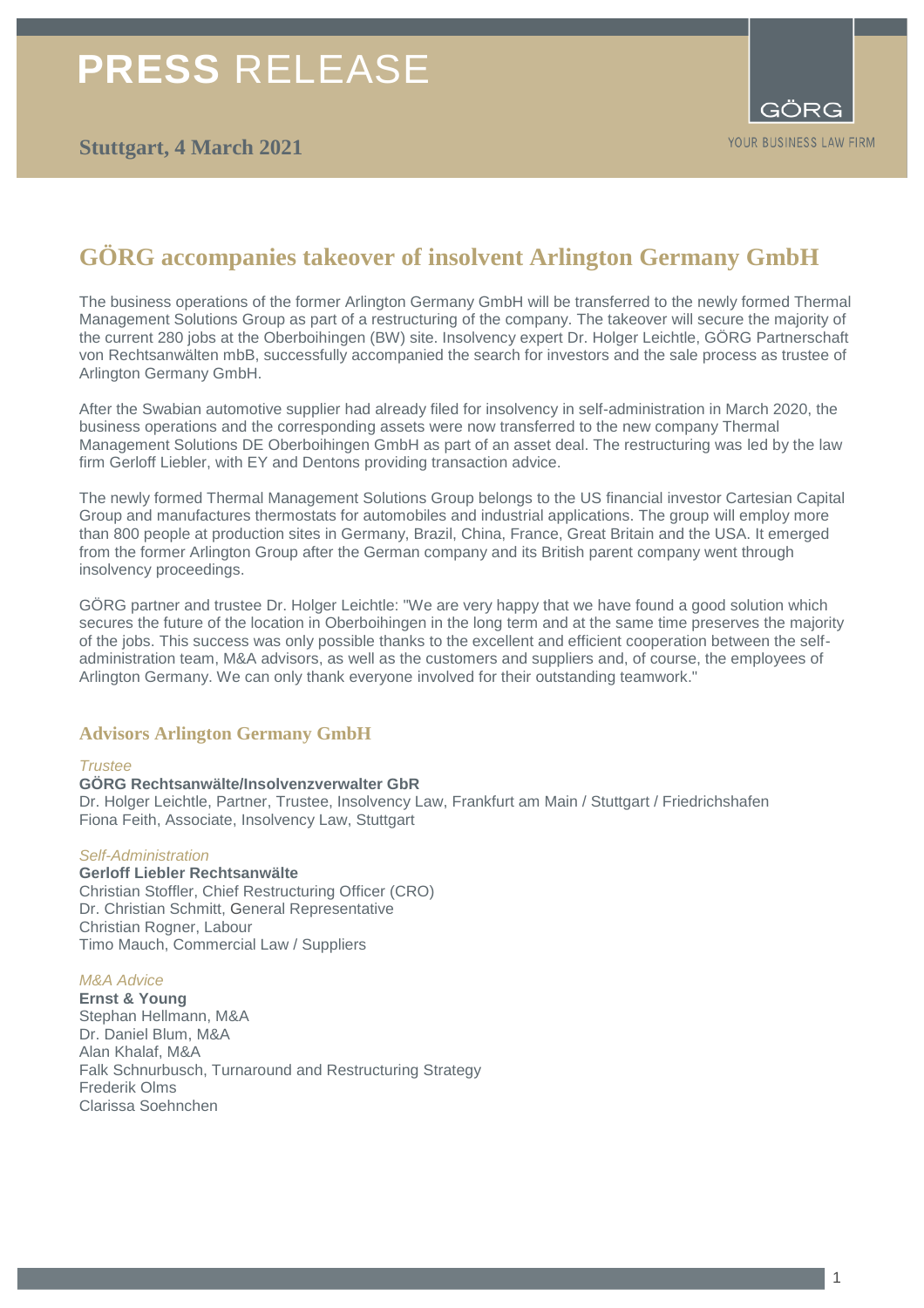# **PRESS** RELEASE

# **GÖRG accompanies takeover of insolvent Arlington Germany GmbH**

The business operations of the former Arlington Germany GmbH will be transferred to the newly formed Thermal Management Solutions Group as part of a restructuring of the company. The takeover will secure the majority of the current 280 jobs at the Oberboihingen (BW) site. Insolvency expert Dr. Holger Leichtle, GÖRG Partnerschaft von Rechtsanwälten mbB, successfully accompanied the search for investors and the sale process as trustee of Arlington Germany GmbH.

After the Swabian automotive supplier had already filed for insolvency in self-administration in March 2020, the business operations and the corresponding assets were now transferred to the new company Thermal Management Solutions DE Oberboihingen GmbH as part of an asset deal. The restructuring was led by the law firm Gerloff Liebler, with EY and Dentons providing transaction advice.

The newly formed Thermal Management Solutions Group belongs to the US financial investor Cartesian Capital Group and manufactures thermostats for automobiles and industrial applications. The group will employ more than 800 people at production sites in Germany, Brazil, China, France, Great Britain and the USA. It emerged from the former Arlington Group after the German company and its British parent company went through insolvency proceedings.

GÖRG partner and trustee Dr. Holger Leichtle: "We are very happy that we have found a good solution which secures the future of the location in Oberboihingen in the long term and at the same time preserves the majority of the jobs. This success was only possible thanks to the excellent and efficient cooperation between the selfadministration team, M&A advisors, as well as the customers and suppliers and, of course, the employees of Arlington Germany. We can only thank everyone involved for their outstanding teamwork."

# **Advisors Arlington Germany GmbH**

### *Trustee*

### **GÖRG Rechtsanwälte/Insolvenzverwalter GbR**

Dr. Holger Leichtle, Partner, Trustee, Insolvency Law, Frankfurt am Main / Stuttgart / Friedrichshafen Fiona Feith, Associate, Insolvency Law, Stuttgart

### *Self-Administration*

### **Gerloff Liebler Rechtsanwälte**

Christian Stoffler, Chief Restructuring Officer (CRO) Dr. Christian Schmitt, General Representative Christian Rogner, Labour Timo Mauch, Commercial Law / Suppliers

### *M&A Advice*

**Ernst & Young**  Stephan Hellmann, M&A Dr. Daniel Blum, M&A Alan Khalaf, M&A Falk Schnurbusch, Turnaround and Restructuring Strategy Frederik Olms Clarissa Soehnchen